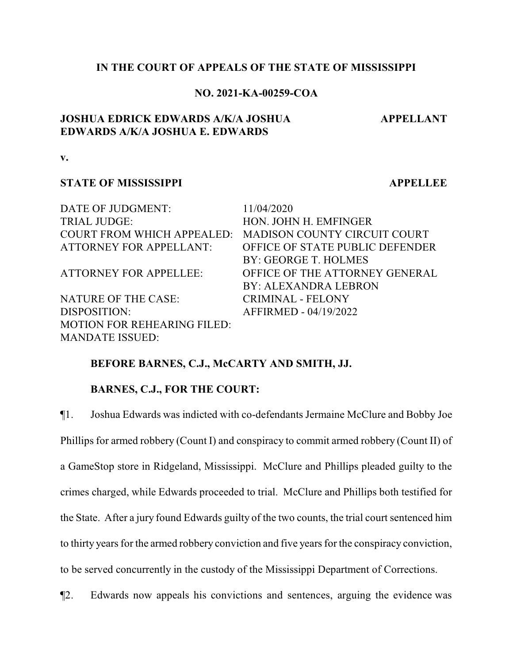#### **IN THE COURT OF APPEALS OF THE STATE OF MISSISSIPPI**

#### **NO. 2021-KA-00259-COA**

## **JOSHUA EDRICK EDWARDS A/K/A JOSHUA EDWARDS A/K/A JOSHUA E. EDWARDS**

**APPELLANT**

**v.**

#### **STATE OF MISSISSIPPI APPELLEE**

| DATE OF JUDGMENT:                  | 11/04/2020                          |
|------------------------------------|-------------------------------------|
| <b>TRIAL JUDGE:</b>                | HON. JOHN H. EMFINGER               |
| <b>COURT FROM WHICH APPEALED:</b>  | <b>MADISON COUNTY CIRCUIT COURT</b> |
| <b>ATTORNEY FOR APPELLANT:</b>     | OFFICE OF STATE PUBLIC DEFENDER     |
|                                    | BY: GEORGE T. HOLMES                |
| <b>ATTORNEY FOR APPELLEE:</b>      | OFFICE OF THE ATTORNEY GENERAL      |
|                                    | BY: ALEXANDRA LEBRON                |
| NATURE OF THE CASE:                | <b>CRIMINAL - FELONY</b>            |
| DISPOSITION:                       | AFFIRMED - 04/19/2022               |
| <b>MOTION FOR REHEARING FILED:</b> |                                     |
| <b>MANDATE ISSUED:</b>             |                                     |

#### **BEFORE BARNES, C.J., McCARTY AND SMITH, JJ.**

## **BARNES, C.J., FOR THE COURT:**

¶1. Joshua Edwards was indicted with co-defendants Jermaine McClure and Bobby Joe Phillips for armed robbery (Count I) and conspiracy to commit armed robbery (Count II) of a GameStop store in Ridgeland, Mississippi. McClure and Phillips pleaded guilty to the crimes charged, while Edwards proceeded to trial. McClure and Phillips both testified for the State. After a jury found Edwards guilty of the two counts, the trial court sentenced him to thirty years for the armed robbery conviction and five years for the conspiracy conviction, to be served concurrently in the custody of the Mississippi Department of Corrections.

¶2. Edwards now appeals his convictions and sentences, arguing the evidence was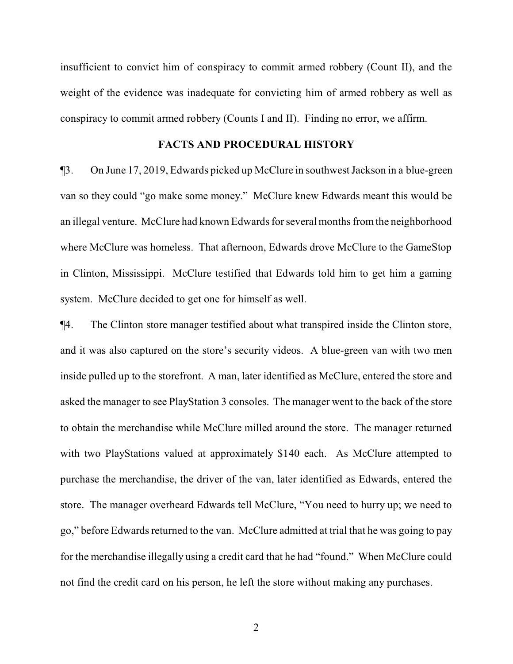insufficient to convict him of conspiracy to commit armed robbery (Count II), and the weight of the evidence was inadequate for convicting him of armed robbery as well as conspiracy to commit armed robbery (Counts I and II). Finding no error, we affirm.

#### **FACTS AND PROCEDURAL HISTORY**

¶3. On June 17, 2019, Edwards picked up McClure in southwest Jackson in a blue-green van so they could "go make some money." McClure knew Edwards meant this would be an illegal venture. McClure had known Edwards for several months fromthe neighborhood where McClure was homeless. That afternoon, Edwards drove McClure to the GameStop in Clinton, Mississippi. McClure testified that Edwards told him to get him a gaming system. McClure decided to get one for himself as well.

¶4. The Clinton store manager testified about what transpired inside the Clinton store, and it was also captured on the store's security videos. A blue-green van with two men inside pulled up to the storefront. A man, later identified as McClure, entered the store and asked the manager to see PlayStation 3 consoles. The manager went to the back of the store to obtain the merchandise while McClure milled around the store. The manager returned with two PlayStations valued at approximately \$140 each. As McClure attempted to purchase the merchandise, the driver of the van, later identified as Edwards, entered the store. The manager overheard Edwards tell McClure, "You need to hurry up; we need to go," before Edwards returned to the van. McClure admitted at trial that he was going to pay for the merchandise illegally using a credit card that he had "found." When McClure could not find the credit card on his person, he left the store without making any purchases.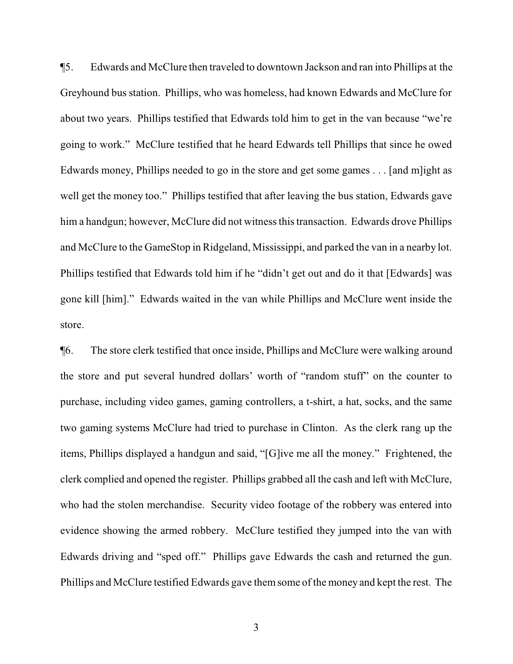¶5. Edwards and McClure then traveled to downtown Jackson and ran into Phillips at the Greyhound bus station. Phillips, who was homeless, had known Edwards and McClure for about two years. Phillips testified that Edwards told him to get in the van because "we're going to work." McClure testified that he heard Edwards tell Phillips that since he owed Edwards money, Phillips needed to go in the store and get some games . . . [and m]ight as well get the money too." Phillips testified that after leaving the bus station, Edwards gave him a handgun; however, McClure did not witness this transaction. Edwards drove Phillips and McClure to the GameStop in Ridgeland, Mississippi, and parked the van in a nearby lot. Phillips testified that Edwards told him if he "didn't get out and do it that [Edwards] was gone kill [him]." Edwards waited in the van while Phillips and McClure went inside the store.

¶6. The store clerk testified that once inside, Phillips and McClure were walking around the store and put several hundred dollars' worth of "random stuff" on the counter to purchase, including video games, gaming controllers, a t-shirt, a hat, socks, and the same two gaming systems McClure had tried to purchase in Clinton. As the clerk rang up the items, Phillips displayed a handgun and said, "[G]ive me all the money." Frightened, the clerk complied and opened the register. Phillips grabbed all the cash and left with McClure, who had the stolen merchandise. Security video footage of the robbery was entered into evidence showing the armed robbery. McClure testified they jumped into the van with Edwards driving and "sped off." Phillips gave Edwards the cash and returned the gun. Phillips and McClure testified Edwards gave themsome of the money and kept the rest. The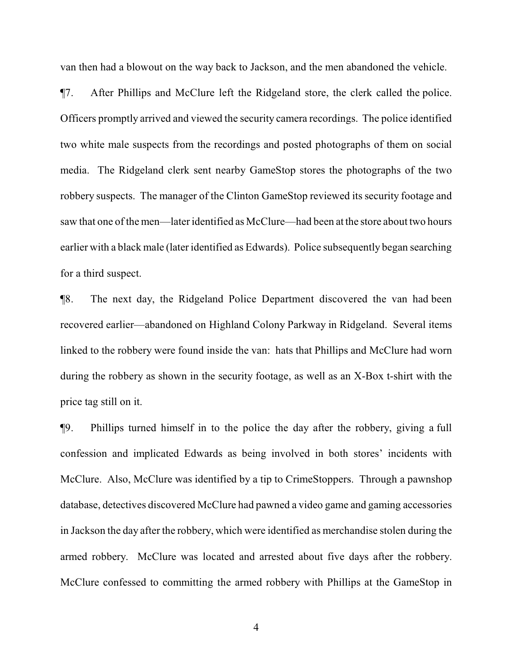van then had a blowout on the way back to Jackson, and the men abandoned the vehicle.

¶7. After Phillips and McClure left the Ridgeland store, the clerk called the police. Officers promptly arrived and viewed the security camera recordings. The police identified two white male suspects from the recordings and posted photographs of them on social media. The Ridgeland clerk sent nearby GameStop stores the photographs of the two robbery suspects. The manager of the Clinton GameStop reviewed its security footage and saw that one of the men—later identified as McClure—had been at the store about two hours earlier with a black male (later identified as Edwards). Police subsequently began searching for a third suspect.

¶8. The next day, the Ridgeland Police Department discovered the van had been recovered earlier—abandoned on Highland Colony Parkway in Ridgeland. Several items linked to the robbery were found inside the van: hats that Phillips and McClure had worn during the robbery as shown in the security footage, as well as an X-Box t-shirt with the price tag still on it.

¶9. Phillips turned himself in to the police the day after the robbery, giving a full confession and implicated Edwards as being involved in both stores' incidents with McClure. Also, McClure was identified by a tip to CrimeStoppers. Through a pawnshop database, detectives discovered McClure had pawned a video game and gaming accessories in Jackson the day after the robbery, which were identified as merchandise stolen during the armed robbery. McClure was located and arrested about five days after the robbery. McClure confessed to committing the armed robbery with Phillips at the GameStop in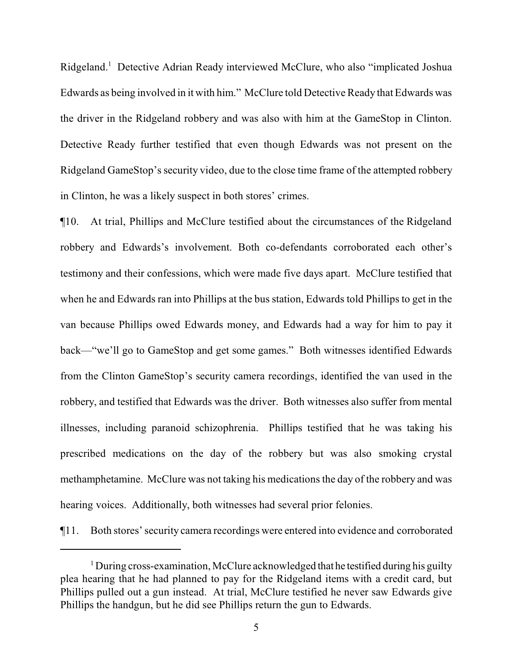Ridgeland. <sup>1</sup> Detective Adrian Ready interviewed McClure, who also "implicated Joshua Edwards as being involved in it with him." McClure told Detective Ready that Edwards was the driver in the Ridgeland robbery and was also with him at the GameStop in Clinton. Detective Ready further testified that even though Edwards was not present on the Ridgeland GameStop's security video, due to the close time frame of the attempted robbery in Clinton, he was a likely suspect in both stores' crimes.

¶10. At trial, Phillips and McClure testified about the circumstances of the Ridgeland robbery and Edwards's involvement. Both co-defendants corroborated each other's testimony and their confessions, which were made five days apart. McClure testified that when he and Edwards ran into Phillips at the bus station, Edwards told Phillips to get in the van because Phillips owed Edwards money, and Edwards had a way for him to pay it back—"we'll go to GameStop and get some games." Both witnesses identified Edwards from the Clinton GameStop's security camera recordings, identified the van used in the robbery, and testified that Edwards was the driver. Both witnesses also suffer from mental illnesses, including paranoid schizophrenia. Phillips testified that he was taking his prescribed medications on the day of the robbery but was also smoking crystal methamphetamine. McClure was not taking his medications the day of the robbery and was hearing voices. Additionally, both witnesses had several prior felonies.

¶11. Both stores' security camera recordings were entered into evidence and corroborated

<sup>&</sup>lt;sup>1</sup> During cross-examination, McClure acknowledged that he testified during his guilty plea hearing that he had planned to pay for the Ridgeland items with a credit card, but Phillips pulled out a gun instead. At trial, McClure testified he never saw Edwards give Phillips the handgun, but he did see Phillips return the gun to Edwards.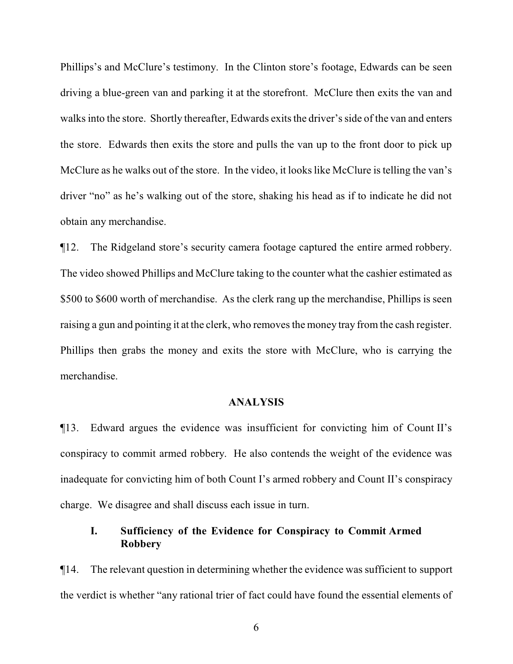Phillips's and McClure's testimony. In the Clinton store's footage, Edwards can be seen driving a blue-green van and parking it at the storefront. McClure then exits the van and walks into the store. Shortly thereafter, Edwards exits the driver's side of the van and enters the store. Edwards then exits the store and pulls the van up to the front door to pick up McClure as he walks out of the store. In the video, it looks like McClure is telling the van's driver "no" as he's walking out of the store, shaking his head as if to indicate he did not obtain any merchandise.

¶12. The Ridgeland store's security camera footage captured the entire armed robbery. The video showed Phillips and McClure taking to the counter what the cashier estimated as \$500 to \$600 worth of merchandise. As the clerk rang up the merchandise, Phillips is seen raising a gun and pointing it at the clerk, who removes the money tray from the cash register. Phillips then grabs the money and exits the store with McClure, who is carrying the merchandise.

## **ANALYSIS**

¶13. Edward argues the evidence was insufficient for convicting him of Count II's conspiracy to commit armed robbery. He also contends the weight of the evidence was inadequate for convicting him of both Count I's armed robbery and Count II's conspiracy charge. We disagree and shall discuss each issue in turn.

# **I. Sufficiency of the Evidence for Conspiracy to Commit Armed Robbery**

¶14. The relevant question in determining whether the evidence was sufficient to support the verdict is whether "any rational trier of fact could have found the essential elements of

6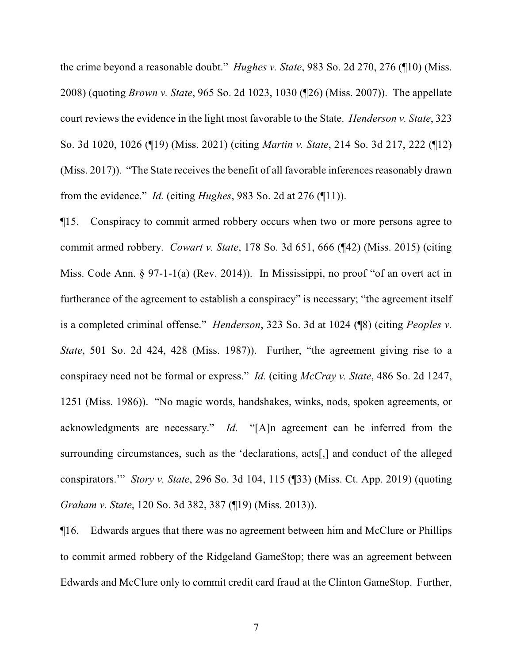the crime beyond a reasonable doubt." *Hughes v. State*, 983 So. 2d 270, 276 (¶10) (Miss. 2008) (quoting *Brown v. State*, 965 So. 2d 1023, 1030 (¶26) (Miss. 2007)). The appellate court reviews the evidence in the light most favorable to the State. *Henderson v. State*, 323 So. 3d 1020, 1026 (¶19) (Miss. 2021) (citing *Martin v. State*, 214 So. 3d 217, 222 (¶12) (Miss. 2017)). "The State receives the benefit of all favorable inferences reasonably drawn from the evidence." *Id.* (citing *Hughes*, 983 So. 2d at 276 (¶11)).

¶15. Conspiracy to commit armed robbery occurs when two or more persons agree to commit armed robbery. *Cowart v. State*, 178 So. 3d 651, 666 (¶42) (Miss. 2015) (citing Miss. Code Ann. § 97-1-1(a) (Rev. 2014)). In Mississippi, no proof "of an overt act in furtherance of the agreement to establish a conspiracy" is necessary; "the agreement itself is a completed criminal offense." *Henderson*, 323 So. 3d at 1024 (¶8) (citing *Peoples v. State*, 501 So. 2d 424, 428 (Miss. 1987)). Further, "the agreement giving rise to a conspiracy need not be formal or express." *Id.* (citing *McCray v. State*, 486 So. 2d 1247, 1251 (Miss. 1986)). "No magic words, handshakes, winks, nods, spoken agreements, or acknowledgments are necessary." *Id.* "[A]n agreement can be inferred from the surrounding circumstances, such as the 'declarations, acts[,] and conduct of the alleged conspirators.'" *Story v. State*, 296 So. 3d 104, 115 (¶33) (Miss. Ct. App. 2019) (quoting *Graham v. State*, 120 So. 3d 382, 387 (¶19) (Miss. 2013)).

¶16. Edwards argues that there was no agreement between him and McClure or Phillips to commit armed robbery of the Ridgeland GameStop; there was an agreement between Edwards and McClure only to commit credit card fraud at the Clinton GameStop. Further,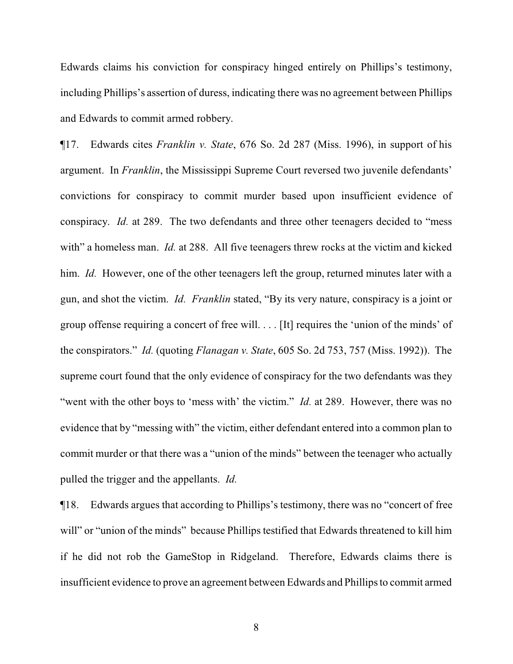Edwards claims his conviction for conspiracy hinged entirely on Phillips's testimony, including Phillips's assertion of duress, indicating there was no agreement between Phillips and Edwards to commit armed robbery.

¶17. Edwards cites *Franklin v. State*, 676 So. 2d 287 (Miss. 1996), in support of his argument. In *Franklin*, the Mississippi Supreme Court reversed two juvenile defendants' convictions for conspiracy to commit murder based upon insufficient evidence of conspiracy. *Id.* at 289. The two defendants and three other teenagers decided to "mess with" a homeless man. *Id.* at 288. All five teenagers threw rocks at the victim and kicked him. *Id.* However, one of the other teenagers left the group, returned minutes later with a gun, and shot the victim. *Id. Franklin* stated, "By its very nature, conspiracy is a joint or group offense requiring a concert of free will. . . . [It] requires the 'union of the minds' of the conspirators." *Id.* (quoting *Flanagan v. State*, 605 So. 2d 753, 757 (Miss. 1992)). The supreme court found that the only evidence of conspiracy for the two defendants was they "went with the other boys to 'mess with' the victim." *Id.* at 289. However, there was no evidence that by "messing with" the victim, either defendant entered into a common plan to commit murder or that there was a "union of the minds" between the teenager who actually pulled the trigger and the appellants. *Id.*

¶18. Edwards argues that according to Phillips's testimony, there was no "concert of free will" or "union of the minds" because Phillips testified that Edwards threatened to kill him if he did not rob the GameStop in Ridgeland. Therefore, Edwards claims there is insufficient evidence to prove an agreement between Edwards and Phillips to commit armed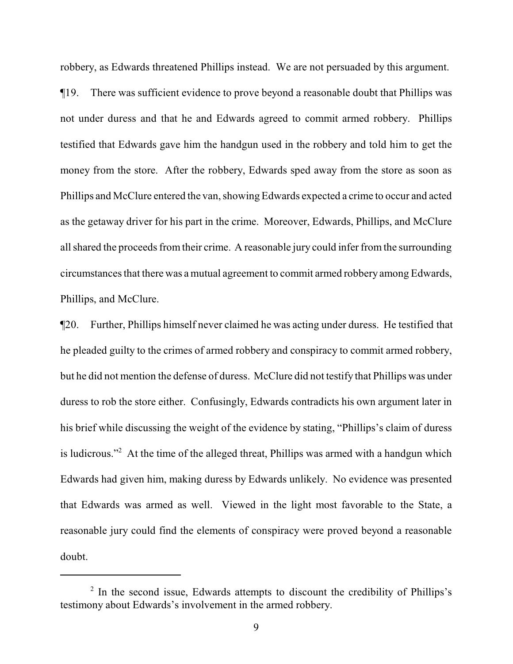robbery, as Edwards threatened Phillips instead. We are not persuaded by this argument. ¶19. There was sufficient evidence to prove beyond a reasonable doubt that Phillips was not under duress and that he and Edwards agreed to commit armed robbery. Phillips testified that Edwards gave him the handgun used in the robbery and told him to get the money from the store. After the robbery, Edwards sped away from the store as soon as Phillips and McClure entered the van, showing Edwards expected a crime to occur and acted as the getaway driver for his part in the crime. Moreover, Edwards, Phillips, and McClure all shared the proceeds fromtheir crime. A reasonable jury could infer from the surrounding circumstances that there was a mutual agreement to commit armed robbery among Edwards, Phillips, and McClure.

¶20. Further, Phillips himself never claimed he was acting under duress. He testified that he pleaded guilty to the crimes of armed robbery and conspiracy to commit armed robbery, but he did not mention the defense of duress. McClure did not testify that Phillips was under duress to rob the store either. Confusingly, Edwards contradicts his own argument later in his brief while discussing the weight of the evidence by stating, "Phillips's claim of duress is ludicrous."<sup>2</sup> At the time of the alleged threat, Phillips was armed with a handgun which Edwards had given him, making duress by Edwards unlikely. No evidence was presented that Edwards was armed as well. Viewed in the light most favorable to the State, a reasonable jury could find the elements of conspiracy were proved beyond a reasonable doubt.

<sup>&</sup>lt;sup>2</sup> In the second issue, Edwards attempts to discount the credibility of Phillips's testimony about Edwards's involvement in the armed robbery.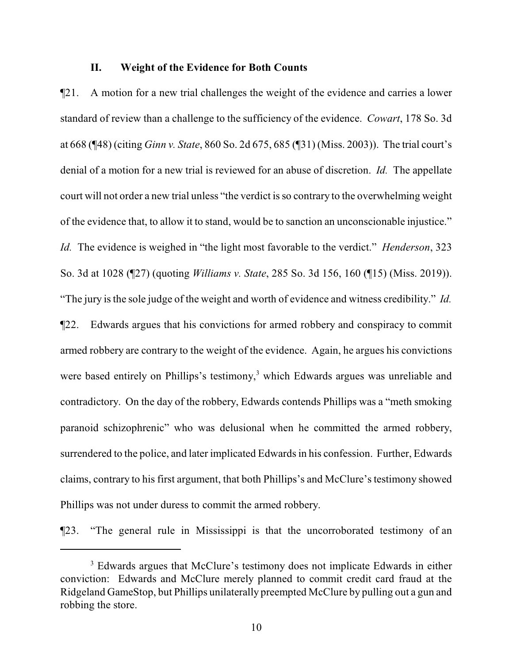#### **II. Weight of the Evidence for Both Counts**

¶21. A motion for a new trial challenges the weight of the evidence and carries a lower standard of review than a challenge to the sufficiency of the evidence. *Cowart*, 178 So. 3d at 668 (¶48) (citing *Ginn v. State*, 860 So. 2d 675, 685 (¶31) (Miss. 2003)). The trial court's denial of a motion for a new trial is reviewed for an abuse of discretion. *Id.* The appellate court will not order a new trial unless "the verdict is so contrary to the overwhelming weight of the evidence that, to allow it to stand, would be to sanction an unconscionable injustice." *Id.* The evidence is weighed in "the light most favorable to the verdict." *Henderson*, 323 So. 3d at 1028 (¶27) (quoting *Williams v. State*, 285 So. 3d 156, 160 (¶15) (Miss. 2019)). "The jury is the sole judge of the weight and worth of evidence and witness credibility." *Id.* ¶22. Edwards argues that his convictions for armed robbery and conspiracy to commit armed robbery are contrary to the weight of the evidence. Again, he argues his convictions were based entirely on Phillips's testimony,<sup>3</sup> which Edwards argues was unreliable and contradictory. On the day of the robbery, Edwards contends Phillips was a "meth smoking paranoid schizophrenic" who was delusional when he committed the armed robbery, surrendered to the police, and later implicated Edwards in his confession. Further, Edwards claims, contrary to his first argument, that both Phillips's and McClure's testimony showed Phillips was not under duress to commit the armed robbery.

¶23. "The general rule in Mississippi is that the uncorroborated testimony of an

<sup>&</sup>lt;sup>3</sup> Edwards argues that McClure's testimony does not implicate Edwards in either conviction: Edwards and McClure merely planned to commit credit card fraud at the Ridgeland GameStop, but Phillips unilaterally preempted McClure by pulling out a gun and robbing the store.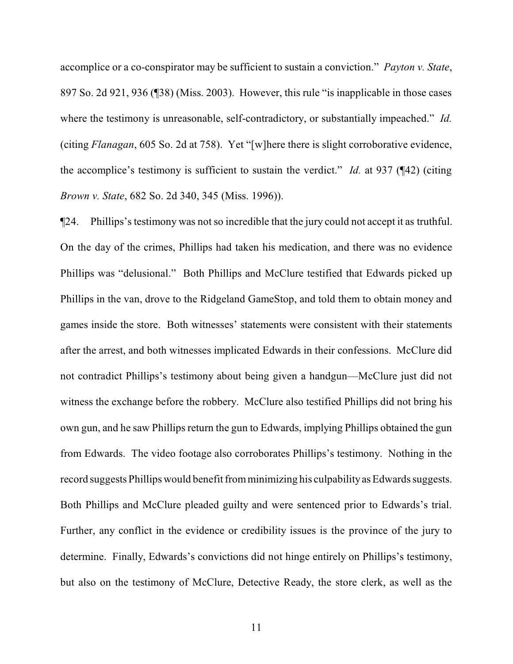accomplice or a co-conspirator may be sufficient to sustain a conviction." *Payton v. State*, 897 So. 2d 921, 936 (¶38) (Miss. 2003). However, this rule "is inapplicable in those cases where the testimony is unreasonable, self-contradictory, or substantially impeached." *Id.* (citing *Flanagan*, 605 So. 2d at 758). Yet "[w]here there is slight corroborative evidence, the accomplice's testimony is sufficient to sustain the verdict." *Id.* at 937 (¶42) (citing *Brown v. State*, 682 So. 2d 340, 345 (Miss. 1996)).

¶24. Phillips's testimony was not so incredible that the jury could not accept it as truthful. On the day of the crimes, Phillips had taken his medication, and there was no evidence Phillips was "delusional." Both Phillips and McClure testified that Edwards picked up Phillips in the van, drove to the Ridgeland GameStop, and told them to obtain money and games inside the store. Both witnesses' statements were consistent with their statements after the arrest, and both witnesses implicated Edwards in their confessions. McClure did not contradict Phillips's testimony about being given a handgun—McClure just did not witness the exchange before the robbery. McClure also testified Phillips did not bring his own gun, and he saw Phillips return the gun to Edwards, implying Phillips obtained the gun from Edwards. The video footage also corroborates Phillips's testimony. Nothing in the record suggests Phillips would benefit fromminimizing his culpabilityas Edwards suggests. Both Phillips and McClure pleaded guilty and were sentenced prior to Edwards's trial. Further, any conflict in the evidence or credibility issues is the province of the jury to determine. Finally, Edwards's convictions did not hinge entirely on Phillips's testimony, but also on the testimony of McClure, Detective Ready, the store clerk, as well as the